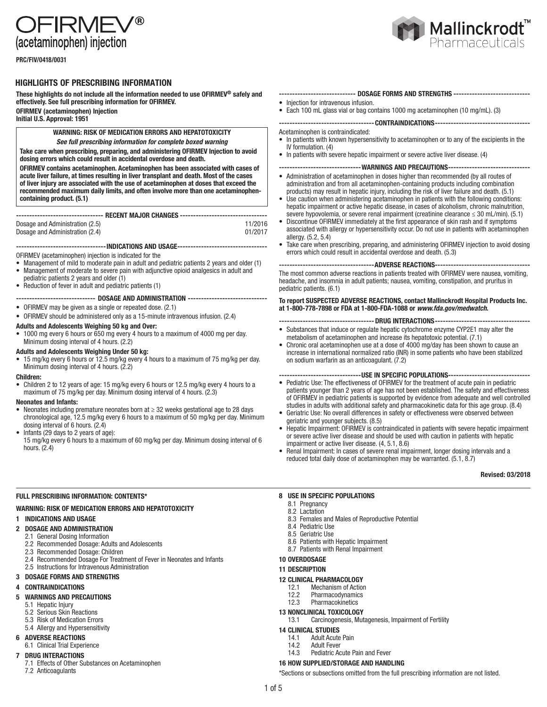FIRMFV® (acetaminophen) injection

PRC/FIV/0418/0031

## HIGHLIGHTS OF PRESCRIBING INFORMATION

These highlights do not include all the information needed to use OFIRMEV® safely and effectively. See full prescribing information for OFIRMEV.

OFIRMEV (acetaminophen) Injection Initial U.S. Approval: 1951

## WARNING: RISK OF MEDICATION ERRORS AND HEPATOTOXICITY *See full prescribing information for complete boxed warning*

Take care when prescribing, preparing, and administering OFIRMEV Injection to avoid dosing errors which could result in accidental overdose and death.

OFIRMEV contains acetaminophen. Acetaminophen has been associated with cases of acute liver failure, at times resulting in liver transplant and death. Most of the cases of liver injury are associated with the use of acetaminophen at doses that exceed the recommended maximum daily limits, and often involve more than one acetaminophencontaining product. (5.1)

#### --------------------------------- RECENT MAJOR CHANGES ---------------------------------

Dosage and Administration (2.5)<br>
Dosage and Administration (2.4)<br>
01/2017 Dosage and Administration (2.4)

----------------------------------INDICATIONS AND USAGE----------------------------------

OFIRMEV (acetaminophen) injection is indicated for the

- Management of mild to moderate pain in adult and pediatric patients 2 years and older (1) • Management of moderate to severe pain with adjunctive opioid analgesics in adult and
- pediatric patients 2 years and older (1)
- Reduction of fever in adult and pediatric patients (1)
- ------------------------------ DOSAGE AND ADMINISTRATION ------------------------------
- OFIRMEV may be given as a single or repeated dose. (2.1)
- OFIRMEV should be administered only as a 15-minute intravenous infusion. (2.4)

#### Adults and Adolescents Weighing 50 kg and Over:

• 1000 mg every 6 hours or 650 mg every 4 hours to a maximum of 4000 mg per day. Minimum dosing interval of 4 hours. (2.2)

- Adults and Adolescents Weighing Under 50 kg:
- 15 mg/kg every 6 hours or 12.5 mg/kg every 4 hours to a maximum of 75 mg/kg per day. Minimum dosing interval of 4 hours. (2.2)

### Children:

• Children 2 to 12 years of age: 15 mg/kg every 6 hours or 12.5 mg/kg every 4 hours to a maximum of 75 mg/kg per day. Minimum dosing interval of 4 hours. (2.3)

## Neonates and Infants:

- Neonates including premature neonates born at ≥ 32 weeks gestational age to 28 days chronological age, 12.5 mg/kg every 6 hours to a maximum of 50 mg/kg per day. Minimum dosing interval of 6 hours. (2.4)
- Infants (29 days to 2 years of age): 15 mg/kg every 6 hours to a maximum of 60 mg/kg per day. Minimum dosing interval of 6 hours. (2.4)

## FULL PRESCRIBING INFORMATION: CONTENTS\*

## WARNING: RISK OF MEDICATION ERRORS AND HEPATOTOXICITY

#### 1 INDICATIONS AND USAGE

- 2 DOSAGE AND ADMINISTRATION
- 2.1 General Dosing Information
	- 2.2 Recommended Dosage: Adults and Adolescents
- 2.3 Recommended Dosage: Children
- 2.4 Recommended Dosage For Treatment of Fever in Neonates and Infants
- 2.5 Instructions for Intravenous Administration

## 3 DOSAGE FORMS AND STRENGTHS

## 4 CONTRAINDICATIONS

## 5 WARNINGS AND PRECAUTIONS

- 5.1 Hepatic Injury
- 5.2 Serious Skin Reactions
- 5.3 Risk of Medication Errors
- 5.4 Allergy and Hypersensitivity

## 6 ADVERSE REACTIONS

- 6.1 Clinical Trial Experience
- DRUG INTERACTIONS
	- 7.1 Effects of Other Substances on Acetaminophen 7.2 Anticoagulants



#### ---------- DOSAGE FORMS AND STRENGTHS --------• Injection for intravenous infusion.

- 
- Each 100 mL glass vial or bag contains 1000 mg acetaminophen (10 mg/mL). (3)

------------------------------------CONTRAINDICATIONS------------------------------------

- Acetaminophen is contraindicated:
- In patients with known hypersensitivity to acetaminophen or to any of the excipients in the IV formulation. (4)
- In patients with severe hepatic impairment or severe active liver disease. (4)

## -------------------------------WARNINGS AND PRECAUTIONS-------------------------------

- Administration of acetaminophen in doses higher than recommended (by all routes of administration and from all acetaminophen-containing products including combination products) may result in hepatic injury, including the risk of liver failure and death. (5.1)
- Use caution when administering acetaminophen in patients with the following conditions: hepatic impairment or active hepatic disease, in cases of alcoholism, chronic malnutrition, severe hypovolemia, or severe renal impairment (creatinine clearance  $\leq 30$  mL/min). (5.1)
- Discontinue OFIRMEV immediately at the first appearance of skin rash and if symptoms associated with allergy or hypersensitivity occur. Do not use in patients with acetaminophen allergy. (5.2, 5.4)
- Take care when prescribing, preparing, and administering OFIRMEV injection to avoid dosing errors which could result in accidental overdose and death. (5.3)

----ADVERSE REACTIONS----The most common adverse reactions in patients treated with OFIRMEV were nausea, vomiting, headache, and insomnia in adult patients; nausea, vomiting, constipation, and pruritus in pediatric patients. (6.1)

To report SUSPECTED ADVERSE REACTIONS, contact Mallinckrodt Hospital Products Inc. at 1-800-778-7898 or FDA at 1-800-FDA-1088 or *www.fda.gov/medwatch*.

- ----------------------------- DRUG INTERACTIONS------------------
- Substances that induce or regulate hepatic cytochrome enzyme CYP2E1 may alter the metabolism of acetaminophen and increase its hepatotoxic potential. (7.1)
- Chronic oral acetaminophen use at a dose of 4000 mg/day has been shown to cause an increase in international normalized ratio (INR) in some patients who have been stabilized on sodium warfarin as an anticoagulant. (7.2)

#### -------------------------------USE IN SPECIFIC POPULATIONS-------------------------------

- Pediatric Use: The effectiveness of OFIRMEV for the treatment of acute pain in pediatric patients younger than 2 years of age has not been established. The safety and effectiveness of OFIRMEV in pediatric patients is supported by evidence from adequate and well controlled studies in adults with additional safety and pharmacokinetic data for this age group. (8.4)
- Geriatric Use: No overall differences in safety or effectiveness were observed between geriatric and younger subjects. (8.5)
- Hepatic Impairment: OFIRMEV is contraindicated in patients with severe hepatic impairment or severe active liver disease and should be used with caution in patients with hepatic impairment or active liver disease. (4, 5.1, 8.6)
- Renal Impairment: In cases of severe renal impairment, longer dosing intervals and a reduced total daily dose of acetaminophen may be warranted. (5.1, 8.7)

#### Revised: 03/2018

### 8 USE IN SPECIFIC POPULATIONS

- 8.1 Pregnancy
- 8.2 Lactation
- 8.3 Females and Males of Reproductive Potential
- 8.4 Pediatric Use
- 8.5 Geriatric Use
- 8.6 Patients with Hepatic Impairment 8.7 Patients with Renal Impairment
- 
- 10 OVERDOSAGE

## 11 DESCRIPTION

# **12 CLINICAL PHARMACOLOGY**<br>12.1 Mechanism of Action

- Mechanism of Action
- 12.2 Pharmacodynamics<br>12.3 Pharmacokinetics **Pharmacokinetics**
- 13 NONCLINICAL TOXICOLOGY

## 13.1 Carcinogenesis, Mutagenesis, Impairment of Fertility

- 14 CLINICAL STUDIES
	- 14.1 Adult Acute Pain
	- 14.2 Adult Fever<br>14.3 Pediatric Ac
	- Pediatric Acute Pain and Fever

## 16 HOW SUPPLIED/STORAGE AND HANDLING

\*Sections or subsections omitted from the full prescribing information are not listed.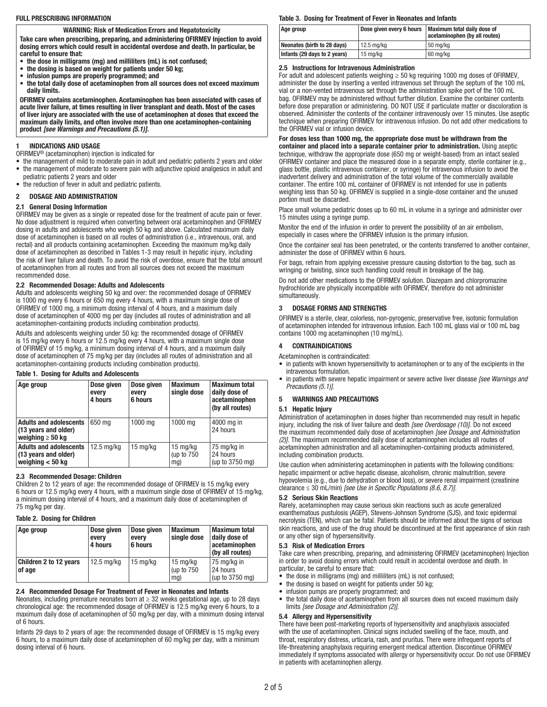### FULL PRESCRIBING INFORMATION

WARNING: Risk of Medication Errors and Hepatotoxicity

Take care when prescribing, preparing, and administering OFIRMEV Injection to avoid dosing errors which could result in accidental overdose and death. In particular, be careful to ensure that:

- the dose in milligrams (mg) and milliliters (mL) is not confused;
- the dosing is based on weight for patients under 50 kg;
- infusion pumps are properly programmed; and
- the total daily dose of acetaminophen from all sources does not exceed maximum daily limits.

OFIRMEV contains acetaminophen. Acetaminophen has been associated with cases of acute liver failure, at times resulting in liver transplant and death. Most of the cases of liver injury are associated with the use of acetaminophen at doses that exceed the maximum daily limits, and often involve more than one acetaminophen-containing product *[see Warnings and Precautions (5.1)]*.

## 1 INDICATIONS AND USAGE

- OFIRMEV® (acetaminophen) injection is indicated for
- the management of mild to moderate pain in adult and pediatric patients 2 years and older • the management of moderate to severe pain with adjunctive opioid analgesics in adult and
- pediatric patients 2 years and older • the reduction of fever in adult and pediatric patients.
- 

## 2 DOSAGE AND ADMINISTRATION

## 2.1 General Dosing Information

OFIRMEV may be given as a single or repeated dose for the treatment of acute pain or fever. No dose adjustment is required when converting between oral acetaminophen and OFIRMEV dosing in adults and adolescents who weigh 50 kg and above. Calculated maximum daily dose of acetaminophen is based on all routes of administration (i.e., intravenous, oral, and rectal) and all products containing acetaminophen. Exceeding the maximum mg/kg daily dose of acetaminophen as described in Tables 1-3 may result in hepatic injury, including the risk of liver failure and death. To avoid the risk of overdose, ensure that the total amount of acetaminophen from all routes and from all sources does not exceed the maximum recommended dose.

#### 2.2 Recommended Dosage: Adults and Adolescents

Adults and adolescents weighing 50 kg and over: the recommended dosage of OFIRMEV is 1000 mg every 6 hours or 650 mg every 4 hours, with a maximum single dose of OFIRMEV of 1000 mg, a minimum dosing interval of 4 hours, and a maximum daily dose of acetaminophen of 4000 mg per day (includes all routes of administration and all acetaminophen-containing products including combination products).

Adults and adolescents weighing under 50 kg: the recommended dosage of OFIRMEV is 15 mg/kg every 6 hours or 12.5 mg/kg every 4 hours, with a maximum single dose of OFIRMEV of 15 mg/kg, a minimum dosing interval of 4 hours, and a maximum daily dose of acetaminophen of 75 mg/kg per day (includes all routes of administration and all acetaminophen-containing products including combination products).

#### Table 1. Dosing for Adults and Adolescents

| Age group                                                                      | Dose given<br>every<br>4 hours | Dose given<br>every<br>6 hours | <b>Maximum</b><br>single dose             | <b>Maximum total</b><br>daily dose of<br>acetaminophen<br>(by all routes) |
|--------------------------------------------------------------------------------|--------------------------------|--------------------------------|-------------------------------------------|---------------------------------------------------------------------------|
| <b>Adults and adolescents</b><br>(13 years and older)<br>weighing $\geq 50$ kg | 650 mg                         | 1000 mg                        | 1000 mg                                   | 4000 mg in<br>24 hours                                                    |
| <b>Adults and adolescents</b><br>(13 years and older)<br>weighing $< 50$ kg    | $12.5 \text{ mg/kg}$           | 15 mg/kg                       | $15 \text{ mg/kg}$<br>(up to $750$<br>mg) | 75 mg/kg in<br>24 hours<br>(up to 3750 mg)                                |

### 2.3 Recommended Dosage: Children

Children 2 to 12 years of age: the recommended dosage of OFIRMEV is 15 mg/kg every 6 hours or 12.5 mg/kg every 4 hours, with a maximum single dose of OFIRMEV of 15 mg/kg, a minimum dosing interval of 4 hours, and a maximum daily dose of acetaminophen of 75 mg/kg per day.

#### Table 2. Dosing for Children

| Age group                        | Dose given<br>every<br>4 hours | Dose given<br>every<br>6 hours | <b>Maximum</b><br>single dose                | <b>Maximum total</b><br>daily dose of<br>acetaminophen<br>(by all routes) |
|----------------------------------|--------------------------------|--------------------------------|----------------------------------------------|---------------------------------------------------------------------------|
| Children 2 to 12 years<br>of age | $12.5 \text{ mg/kg}$           | $15 \text{ mg/kg}$             | $15 \text{ mg/kg}$<br>(up to $750$<br>$mq$ ) | 75 mg/kg in<br>24 hours<br>(up to 3750 mg)                                |

## 2.4 Recommended Dosage For Treatment of Fever in Neonates and Infants

Neonates, including premature neonates born at ≥ 32 weeks gestational age, up to 28 days chronological age: the recommended dosage of OFIRMEV is 12.5 mg/kg every 6 hours, to a maximum daily dose of acetaminophen of 50 mg/kg per day, with a minimum dosing interval of 6 hours.

Infants 29 days to 2 years of age: the recommended dosage of OFIRMEV is 15 mg/kg every 6 hours, to a maximum daily dose of acetaminophen of 60 mg/kg per day, with a minimum dosing interval of 6 hours.

#### Table 3. Dosing for Treatment of Fever in Neonates and Infants

| Age group                    |              | Dose given every 6 hours   Maximum total daily dose of<br>acetaminophen (by all routes) |
|------------------------------|--------------|-----------------------------------------------------------------------------------------|
| Neonates (birth to 28 days)  | l 12.5 ma/ka | 50 mg/kg                                                                                |
| Infants (29 days to 2 years) | 15 mg/kg     | 60 mg/kg                                                                                |

#### 2.5 Instructions for Intravenous Administration

For adult and adolescent patients weighing  $\geq$  50 kg requiring 1000 mg doses of OFIRMEV, administer the dose by inserting a vented intravenous set through the septum of the 100 mL vial or a non-vented intravenous set through the administration spike port of the 100 mL bag. OFIRMEV may be administered without further dilution. Examine the container contents before dose preparation or administering. DO NOT USE if particulate matter or discoloration is observed. Administer the contents of the container intravenously over 15 minutes. Use aseptic technique when preparing OFIRMEV for intravenous infusion. Do not add other medications to the OFIRMEV vial or infusion device.

For doses less than 1000 mg, the appropriate dose must be withdrawn from the container and placed into a separate container prior to administration. Using aseptic technique, withdraw the appropriate dose (650 mg or weight-based) from an intact sealed OFIRMEV container and place the measured dose in a separate empty, sterile container (e.g., glass bottle, plastic intravenous container, or syringe) for intravenous infusion to avoid the inadvertent delivery and administration of the total volume of the commercially available container. The entire 100 mL container of OFIRMEV is not intended for use in patients weighing less than 50 kg. OFIRMEV is supplied in a single-dose container and the unused portion must be discarded.

Place small volume pediatric doses up to 60 mL in volume in a syringe and administer over 15 minutes using a syringe pump.

Monitor the end of the infusion in order to prevent the possibility of an air embolism, especially in cases where the OFIRMEV infusion is the primary infusion.

Once the container seal has been penetrated, or the contents transferred to another container, administer the dose of OFIRMEV within 6 hours.

For bags, refrain from applying excessive pressure causing distortion to the bag, such as wringing or twisting, since such handling could result in breakage of the bag.

Do not add other medications to the OFIRMEV solution. Diazepam and chlorpromazine hydrochloride are physically incompatible with OFIRMEV, therefore do not administer simultaneously.

#### 3 DOSAGE FORMS AND STRENGTHS

OFIRMEV is a sterile, clear, colorless, non-pyrogenic, preservative free, isotonic formulation of acetaminophen intended for intravenous infusion. Each 100 mL glass vial or 100 mL bag contains 1000 mg acetaminophen (10 mg/mL).

#### 4 CONTRAINDICATIONS

Acetaminophen is contraindicated:

- in patients with known hypersensitivity to acetaminophen or to any of the excipients in the intravenous formulation.
- in patients with severe hepatic impairment or severe active liver disease *[see Warnings and Precautions (5.1)]*.

## 5 WARNINGS AND PRECAUTIONS

#### 5.1 Hepatic Injury

Administration of acetaminophen in doses higher than recommended may result in hepatic injury, including the risk of liver failure and death *[see Overdosage (10)]*. Do not exceed the maximum recommended daily dose of acetaminophen *[see Dosage and Administration (2)]*. The maximum recommended daily dose of acetaminophen includes all routes of acetaminophen administration and all acetaminophen-containing products administered, including combination products.

Use caution when administering acetaminophen in patients with the following conditions: hepatic impairment or active hepatic disease, alcoholism, chronic malnutrition, severe hypovolemia (e.g., due to dehydration or blood loss), or severe renal impairment (creatinine clearance ≤ 30 mL/min) *[see Use in Specific Populations (8.6, 8.7)]*.

#### 5.2 Serious Skin Reactions

Rarely, acetaminophen may cause serious skin reactions such as acute generalized exanthematous pustulosis (AGEP), Stevens-Johnson Syndrome (SJS), and toxic epidermal necrolysis (TEN), which can be fatal. Patients should be informed about the signs of serious skin reactions, and use of the drug should be discontinued at the first appearance of skin rash or any other sign of hypersensitivity.

#### 5.3 Risk of Medication Errors

Take care when prescribing, preparing, and administering OFIRMEV (acetaminophen) Injection in order to avoid dosing errors which could result in accidental overdose and death. In particular, be careful to ensure that:

- the dose in milligrams (mg) and milliliters (mL) is not confused;
- the dosing is based on weight for patients under 50 kg;
- infusion pumps are properly programmed; and
- the total daily dose of acetaminophen from all sources does not exceed maximum daily limits *[see Dosage and Administration (2)]*.

#### 5.4 Allergy and Hypersensitivity

There have been post-marketing reports of hypersensitivity and anaphylaxis associated with the use of acetaminophen. Clinical signs included swelling of the face, mouth, and throat, respiratory distress, urticaria, rash, and pruritus. There were infrequent reports of life-threatening anaphylaxis requiring emergent medical attention. Discontinue OFIRMEV immediately if symptoms associated with allergy or hypersensitivity occur. Do not use OFIRMEV in patients with acetaminophen allergy.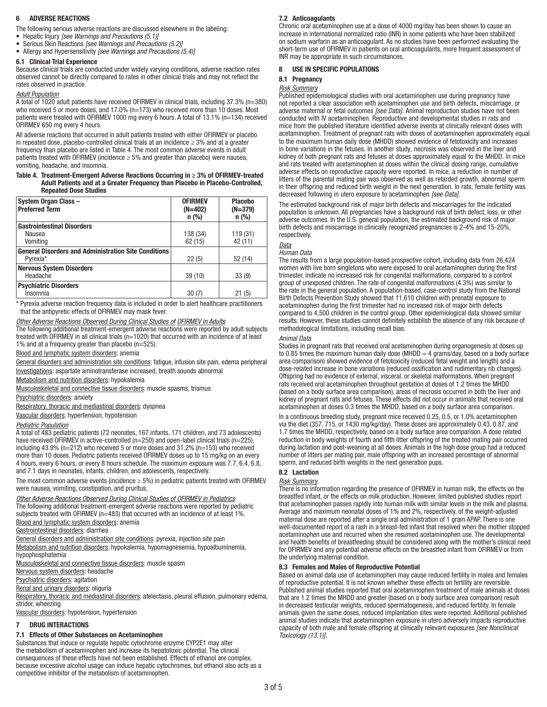### **ADVERSE REACTIONS**

The following serious adverse reactions are discussed elsewhere in the labeling:

- Hepatic Injury *[see Warnings and Precautions (5.1)]*
- Serious Skin Reactions *[see Warnings and Precautions (5.2)]* • Allergy and Hypersensitivity *[see Warnings and Precautions (5.4)]*
- 

## 6.1 Clinical Trial Experience

Because clinical trials are conducted under widely varying conditions, adverse reaction rates observed cannot be directly compared to rates in other clinical trials and may not reflect the rates observed in practice.

#### *Adult Population*

A total of 1020 adult patients have received OFIRMEV in clinical trials, including 37.3% (n=380) who received 5 or more doses, and 17.0% (n=173) who received more than 10 doses. Most patients were treated with OFIRMEV 1000 mg every 6 hours. A total of 13.1% (n=134) received OFIRMEV 650 mg every 4 hours.

All adverse reactions that occurred in adult patients treated with either OFIRMEV or placebo in repeated dose, placebo-controlled clinical trials at an incidence  $\geq 3\%$  and at a greater frequency than placebo are listed in Table 4. The most common adverse events in adult patients treated with OFIRMEV (incidence  $\geq$  5% and greater than placebo) were nausea, vomiting, headache, and insomnia.

#### Table 4. Treatment-Emergent Adverse Reactions Occurring in ≥ 3% of OFIRMEV-treated Adult Patients and at a Greater Frequency than Placebo in Placebo-Controlled, Repeated Dose Studies

| System Organ Class-<br><b>Preferred Term</b>                | <b>OFIRMEV</b><br>$(N=402)$<br>$n$ (%) | <b>Placebo</b><br>$(N=379)$<br>$n$ (%) |  |
|-------------------------------------------------------------|----------------------------------------|----------------------------------------|--|
| <b>Gastrointestinal Disorders</b>                           |                                        |                                        |  |
| Nausea                                                      | 138 (34)                               | 119 (31)                               |  |
| Vomiting                                                    | 62(15)                                 | 42 (11)                                |  |
| <b>General Disorders and Administration Site Conditions</b> |                                        |                                        |  |
| Pvrexia*                                                    | 22(5)                                  | 52 (14)                                |  |
| <b>Nervous System Disorders</b>                             |                                        |                                        |  |
| Headache                                                    | 39(10)                                 | 33(9)                                  |  |
| <b>Psychiatric Disorders</b>                                |                                        |                                        |  |
| Insomnia                                                    | 30(7)                                  | 21(5)                                  |  |

\* Pyrexia adverse reaction frequency data is included in order to alert healthcare practitioners that the antipyretic effects of OFIRMEV may mask fever.

*Other Adverse Reactions Observed During Clinical Studies of OFIRMEV in Adults*

The following additional treatment-emergent adverse reactions were reported by adult subjects treated with OFIRMEV in all clinical trials (n=1020) that occurred with an incidence of at least 1% and at a frequency greater than placebo (n=525).

**Blood and lymphatic system disorders: anemia** 

General disorders and administration site conditions: fatigue, infusion site pain, edema peripheral Investigations: aspartate aminotransferase increased, breath sounds abnormal

Metabolism and nutrition disorders: hypokalemia

Musculoskeletal and connective tissue disorders: muscle spasms, trismus

Psychiatric disorders: anxiety

Respiratory, thoracic and mediastinal disorders: dyspnea

Vascular disorders: hypertension, hypotension

## *Pediatric Population*

A total of 483 pediatric patients (72 neonates, 167 infants, 171 children, and 73 adolescents) have received OFIRMEV in active-controlled (n=250) and open-label clinical trials (n=225), including 43.9% (n=212) who received 5 or more doses and 31.2% (n=153) who received more than 10 doses. Pediatric patients received OFIRMEV doses up to 15 mg/kg on an every 4 hours, every 6 hours, or every 8 hours schedule. The maximum exposure was 7.7, 6.4, 6.8, and 7.1 days in neonates, infants, children, and adolescents, respectively.

The most common adverse events (incidence  $\geq$  5%) in pediatric patients treated with OFIRMEV were nausea, vomiting, constipation, and pruritus.

*Other Adverse Reactions Observed During Clinical Studies of OFIRMEV in Pediatrics* The following additional treatment-emergent adverse reactions were reported by pediatric subjects treated with OFIRMEV (n=483) that occurred with an incidence of at least 1%.

#### Blood and lymphatic system disorders: anemia

Gastrointestinal disorders: diarrhea

General disorders and administration site conditions: pyrexia, injection site pain Metabolism and nutrition disorders: hypokalemia, hypomagnesemia, hypoalbuminemia, hypophosphatemia

Musculoskeletal and connective tissue disorders: muscle spasm

Nervous system disorders: headache

Psychiatric disorders: agitation

Renal and urinary disorders: oliguria

Respiratory, thoracic and mediastinal disorders: atelectasis, pleural effusion, pulmonary edema, stridor, wheezing

Vascular disorders: hypotension, hypertension

#### 7 DRUG INTERACTIONS

#### 7.1 Effects of Other Substances on Acetaminophen

Substances that induce or regulate hepatic cytochrome enzyme CYP2E1 may alter the metabolism of acetaminophen and increase its hepatotoxic potential. The clinical consequences of these effects have not been established. Effects of ethanol are complex, because excessive alcohol usage can induce hepatic cytochromes, but ethanol also acts as a competitive inhibitor of the metabolism of acetaminophen.

### 7.2 Anticoagulants

Chronic oral acetaminophen use at a dose of 4000 mg/day has been shown to cause an increase in international normalized ratio (INR) in some patients who have been stabilized on sodium warfarin as an anticoagulant. As no studies have been performed evaluating the short-term use of OFIRMEV in patients on oral anticoagulants, more frequent assessment of INR may be appropriate in such circumstances.

## 8 USE IN SPECIFIC POPULATIONS

## 8.1 Pregnancy

### *Risk Summary*

Published epidemiological studies with oral acetaminophen use during pregnancy have not reported a clear association with acetaminophen use and birth defects, miscarriage, or adverse maternal or fetal outcomes *[see Data]*. Animal reproduction studies have not been conducted with IV acetaminophen. Reproductive and developmental studies in rats and mice from the published literature identified adverse events at clinically relevant doses with acetaminophen. Treatment of pregnant rats with doses of acetaminophen approximately equal to the maximum human daily dose (MHDD) showed evidence of fetotoxicity and increases in bone variations in the fetuses. In another study, necrosis was observed in the liver and kidney of both pregnant rats and fetuses at doses approximately equal to the MHDD. In mice and rats treated with acetaminophen at doses within the clinical dosing range, cumulative adverse effects on reproductive capacity were reported. In mice, a reduction in number of litters of the parental mating pair was observed as well as retarded growth, abnormal sperm in their offspring and reduced birth weight in the next generation. In rats, female fertility was decreased following in utero exposure to acetaminophen *[see Data]*.

The estimated background risk of major birth defects and miscarriages for the indicated population is unknown. All pregnancies have a background risk of birth defect, loss, or other adverse outcomes. In the U.S. general population, the estimated background risk of major birth defects and miscarriage in clinically recognized pregnancies is 2-4% and 15-20%, respectively.

## *Data*

#### *Human Data*

The results from a large population-based prospective cohort, including data from 26,424 women with live born singletons who were exposed to oral acetaminophen during the first trimester, indicate no increased risk for congenital malformations, compared to a control group of unexposed children. The rate of congenital malformations (4.3%) was similar to the rate in the general population. A population-based, case-control study from the National Birth Defects Prevention Study showed that 11,610 children with prenatal exposure to acetaminophen during the first trimester had no increased risk of major birth defects compared to 4,500 children in the control group. Other epidemiological data showed similar results. However, these studies cannot definitely establish the absence of any risk because of methodological limitations, including recall bias.

#### *Animal Data*

Studies in pregnant rats that received oral acetaminophen during organogenesis at doses up to 0.85 times the maximum human daily dose (MHDD = 4 grams/day, based on a body surface area comparison) showed evidence of fetotoxicity (reduced fetal weight and length) and a dose-related increase in bone variations (reduced ossification and rudimentary rib changes). Offspring had no evidence of external, visceral, or skeletal malformations. When pregnant rats received oral acetaminophen throughout gestation at doses of 1.2 times the MHDD (based on a body surface area comparison), areas of necrosis occurred in both the liver and kidney of pregnant rats and fetuses. These effects did not occur in animals that received oral acetaminophen at doses 0.3 times the MHDD, based on a body surface area comparison.

In a continuous breeding study, pregnant mice received 0.25, 0.5, or 1.0% acetaminophen via the diet (357, 715, or 1430 mg/kg/day). These doses are approximately 0.43, 0.87, and 1.7 times the MHDD, respectively, based on a body surface area comparison. A dose related reduction in body weights of fourth and fifth litter offspring of the treated mating pair occurred during lactation and post-weaning at all doses. Animals in the high dose group had a reduced number of litters per mating pair, male offspring with an increased percentage of abnormal sperm, and reduced birth weights in the next generation pups.

## 8.2 Lactation

## *Risk Summary*

There is no information regarding the presence of OFIRMEV in human milk, the effects on the breastfed infant, or the effects on milk production. However, limited published studies report that acetaminophen passes rapidly into human milk with similar levels in the milk and plasma. Average and maximum neonatal doses of 1% and 2%, respectively, of the weight-adjusted maternal dose are reported after a single oral administration of 1 gram APAP. There is one well-documented report of a rash in a breast-fed infant that resolved when the mother stopped acetaminophen use and recurred when she resumed acetaminophen use. The developmental and health benefits of breastfeeding should be considered along with the mother's clinical need for OFIRMEV and any potential adverse effects on the breastfed infant from OFIRMEV or from the underlying maternal condition.

#### 8.3 Females and Males of Reproductive Potential

Based on animal data use of acetaminophen may cause reduced fertility in males and females of reproductive potential. It is not known whether these effects on fertility are reversible. Published animal studies reported that oral acetaminophen treatment of male animals at doses that are 1.2 times the MHDD and greater (based on a body surface area comparison) result in decreased testicular weights, reduced spermatogenesis, and reduced fertility. In female animals given the same doses, reduced implantation sites were reported. Additional published animal studies indicate that acetaminophen exposure in utero adversely impacts reproductive capacity of both male and female offspring at clinically relevant exposures *[see Nonclinical Toxicology (13.1)]*.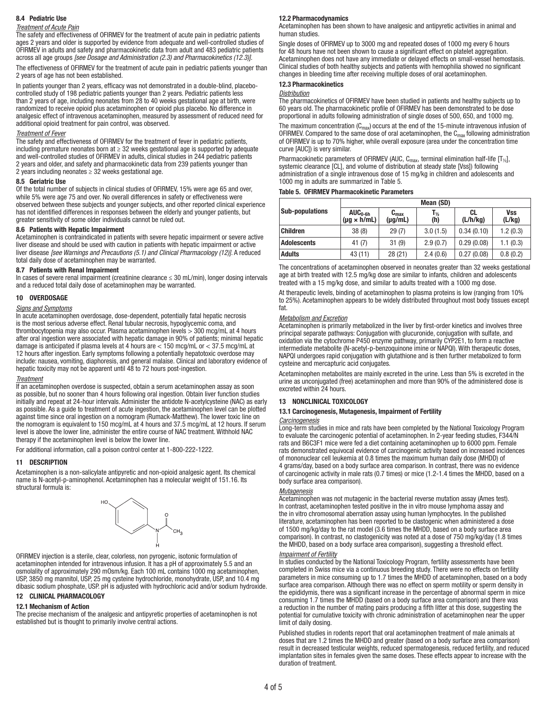## 8.4 Pediatric Use

#### *Treatment of Acute Pain*

The safety and effectiveness of OFIRMEV for the treatment of acute pain in pediatric patients ages 2 years and older is supported by evidence from adequate and well-controlled studies of OFIRMEV in adults and safety and pharmacokinetic data from adult and 483 pediatric patients across all age groups *[see Dosage and Administration (2.3) and Pharmacokinetics (12.3)]*.

The effectiveness of OFIRMEV for the treatment of acute pain in pediatric patients younger than 2 years of age has not been established.

In patients younger than 2 years, efficacy was not demonstrated in a double-blind, placebocontrolled study of 198 pediatric patients younger than 2 years. Pediatric patients less than 2 years of age, including neonates from 28 to 40 weeks gestational age at birth, were randomized to receive opioid plus acetaminophen or opioid plus placebo. No difference in analgesic effect of intravenous acetaminophen, measured by assessment of reduced need for additional opioid treatment for pain control, was observed.

#### *Treatment of Fever*

The safety and effectiveness of OFIRMEV for the treatment of fever in pediatric patients, including premature neonates born at  $\geq$  32 weeks gestational age is supported by adequate and well-controlled studies of OFIRMEV in adults, clinical studies in 244 pediatric patients 2 years and older, and safety and pharmacokinetic data from 239 patients younger than 2 years including neonates  $\geq$  32 weeks gestational age.

#### 8.5 Geriatric Use

Of the total number of subjects in clinical studies of OFIRMEV, 15% were age 65 and over, while 5% were age 75 and over. No overall differences in safety or effectiveness were observed between these subjects and younger subjects, and other reported clinical experience has not identified differences in responses between the elderly and younger patients, but greater sensitivity of some older individuals cannot be ruled out.

## 8.6 Patients with Hepatic Impairment

Acetaminophen is contraindicated in patients with severe hepatic impairment or severe active liver disease and should be used with caution in patients with hepatic impairment or active liver disease *[see Warnings and Precautions (5.1) and Clinical Pharmacology (12)]*. A reduced total daily dose of acetaminophen may be warranted.

#### 8.7 Patients with Renal Impairment

In cases of severe renal impairment (creatinine clearance ≤ 30 mL/min), longer dosing intervals and a reduced total daily dose of acetaminophen may be warranted.

#### 10 OVERDOSAGE

#### *Signs and Symptoms*

In acute acetaminophen overdosage, dose-dependent, potentially fatal hepatic necrosis is the most serious adverse effect. Renal tubular necrosis, hypoglycemic coma, and thrombocytopenia may also occur. Plasma acetaminophen levels > 300 mcg/mL at 4 hours after oral ingestion were associated with hepatic damage in 90% of patients; minimal hepatic damage is anticipated if plasma levels at 4 hours are < 150 mcg/mL or < 37.5 mcg/mL at 12 hours after ingestion. Early symptoms following a potentially hepatotoxic overdose may include: nausea, vomiting, diaphoresis, and general malaise. Clinical and laboratory evidence of hepatic toxicity may not be apparent until 48 to 72 hours post-ingestion.

#### *Treatment*

If an acetaminophen overdose is suspected, obtain a serum acetaminophen assay as soon as possible, but no sooner than 4 hours following oral ingestion. Obtain liver function studies initially and repeat at 24-hour intervals. Administer the antidote N-acetylcysteine (NAC) as early as possible. As a guide to treatment of acute ingestion, the acetaminophen level can be plotted against time since oral ingestion on a nomogram (Rumack-Matthew). The lower toxic line on the nomogram is equivalent to 150 mcg/mL at 4 hours and 37.5 mcg/mL at 12 hours. If serum level is above the lower line, administer the entire course of NAC treatment. Withhold NAC therapy if the acetaminophen level is below the lower line.

For additional information, call a poison control center at 1-800-222-1222.

#### 11 DESCRIPTION

Acetaminophen is a non-salicylate antipyretic and non-opioid analgesic agent. Its chemical name is N-acetyl-p-aminophenol. Acetaminophen has a molecular weight of 151.16. Its structural formula is:



OFIRMEV injection is a sterile, clear, colorless, non pyrogenic, isotonic formulation of acetaminophen intended for intravenous infusion. It has a pH of approximately 5.5 and an osmolality of approximately 290 mOsm/kg. Each 100 mL contains 1000 mg acetaminophen, USP, 3850 mg mannitol, USP, 25 mg cysteine hydrochloride, monohydrate, USP, and 10.4 mg dibasic sodium phosphate, USP. pH is adjusted with hydrochloric acid and/or sodium hydroxide.

#### 12 CLINICAL PHARMACOLOGY

#### 12.1 Mechanism of Action

The precise mechanism of the analgesic and antipyretic properties of acetaminophen is not established but is thought to primarily involve central actions.

#### 12.2 Pharmacodynamics

Acetaminophen has been shown to have analgesic and antipyretic activities in animal and human studies.

Single doses of OFIRMEV up to 3000 mg and repeated doses of 1000 mg every 6 hours for 48 hours have not been shown to cause a significant effect on platelet aggregation. Acetaminophen does not have any immediate or delayed effects on small-vessel hemostasis. Clinical studies of both healthy subjects and patients with hemophilia showed no significant changes in bleeding time after receiving multiple doses of oral acetaminophen.

## 12.3 Pharmacokinetics

#### *Distribution*

The pharmacokinetics of OFIRMEV have been studied in patients and healthy subjects up to 60 years old. The pharmacokinetic profile of OFIRMEV has been demonstrated to be dose proportional in adults following administration of single doses of 500, 650, and 1000 mg.

The maximum concentration  $(C_{max})$  occurs at the end of the 15-minute intravenous infusion of OFIRMEV. Compared to the same dose of oral acetaminophen, the  $C_{\text{max}}$  following administration of OFIRMEV is up to 70% higher, while overall exposure (area under the concentration time curve [AUC]) is very similar.

Pharmacokinetic parameters of OFIRMEV (AUC,  $C_{\text{max}}$ , terminal elimination half-life [T<sub>12</sub>], systemic clearance [CL], and volume of distribution at steady state [Vss]) following administration of a single intravenous dose of 15 mg/kg in children and adolescents and 1000 mg in adults are summarized in Table 5.

#### Table 5. OFIRMEV Pharmacokinetic Parameters

|                        | Mean (SD)                             |                                           |                          |                |               |  |
|------------------------|---------------------------------------|-------------------------------------------|--------------------------|----------------|---------------|--|
| <b>Sub-populations</b> | $AUC_{0-6h}$<br>$(\mu q \times h/mL)$ | $\mathbf{C}_{\text{max}}$<br>$(\mu g/mL)$ | $T_{\frac{1}{2}}$<br>(h) | CL<br>(L/h/kg) | Vss<br>(L/kg) |  |
| <b>Children</b>        | 38(8)                                 | 29(7)                                     | 3.0(1.5)                 | 0.34(0.10)     | 1.2(0.3)      |  |
| Adolescents            | 41 (7)                                | 31(9)                                     | 2.9(0.7)                 | 0.29(0.08)     | 1.1(0.3)      |  |
| <b>Adults</b>          | 43 (11)                               | 28(21)                                    | 2.4(0.6)                 | 0.27(0.08)     | 0.8(0.2)      |  |

The concentrations of acetaminophen observed in neonates greater than 32 weeks gestational age at birth treated with 12.5 mg/kg dose are similar to infants, children and adolescents treated with a 15 mg/kg dose, and similar to adults treated with a 1000 mg dose.

At therapeutic levels, binding of acetaminophen to plasma proteins is low (ranging from 10% to 25%). Acetaminophen appears to be widely distributed throughout most body tissues except fat.

#### *Metabolism and Excretion*

Acetaminophen is primarily metabolized in the liver by first-order kinetics and involves three principal separate pathways: Conjugation with glucuronide, conjugation with sulfate, and oxidation via the cytochrome P450 enzyme pathway, primarily CYP2E1, to form a reactive intermediate metabolite (N-acetyl-p-benzoquinone imine or NAPQI). With therapeutic doses, NAPQI undergoes rapid conjugation with glutathione and is then further metabolized to form cysteine and mercapturic acid conjugates.

Acetaminophen metabolites are mainly excreted in the urine. Less than 5% is excreted in the urine as unconjugated (free) acetaminophen and more than 90% of the administered dose is excreted within 24 hours.

#### 13 NONCLINICAL TOXICOLOGY

## 13.1 Carcinogenesis, Mutagenesis, Impairment of Fertility

## *Carcinogenesis*

Long-term studies in mice and rats have been completed by the National Toxicology Program to evaluate the carcinogenic potential of acetaminophen. In 2-year feeding studies, F344/N rats and B6C3F1 mice were fed a diet containing acetaminophen up to 6000 ppm. Female rats demonstrated equivocal evidence of carcinogenic activity based on increased incidences of mononuclear cell leukemia at 0.8 times the maximum human daily dose (MHDD) of 4 grams/day, based on a body surface area comparison. In contrast, there was no evidence of carcinogenic activity in male rats (0.7 times) or mice (1.2-1.4 times the MHDD, based on a body surface area comparison).

#### *Mutagenesis*

Acetaminophen was not mutagenic in the bacterial reverse mutation assay (Ames test). In contrast, acetaminophen tested positive in the in vitro mouse lymphoma assay and the in vitro chromosomal aberration assay using human lymphocytes. In the published literature, acetaminophen has been reported to be clastogenic when administered a dose of 1500 mg/kg/day to the rat model (3.6 times the MHDD, based on a body surface area comparison). In contrast, no clastogenicity was noted at a dose of 750 mg/kg/day (1.8 times the MHDD, based on a body surface area comparison), suggesting a threshold effect.

#### *Impairment of Fertility*

In studies conducted by the National Toxicology Program, fertility assessments have been completed in Swiss mice via a continuous breeding study. There were no effects on fertility parameters in mice consuming up to 1.7 times the MHDD of acetaminophen, based on a body surface area comparison. Although there was no effect on sperm motility or sperm density in the epididymis, there was a significant increase in the percentage of abnormal sperm in mice consuming 1.7 times the MHDD (based on a body surface area comparison) and there was a reduction in the number of mating pairs producing a fifth litter at this dose, suggesting the potential for cumulative toxicity with chronic administration of acetaminophen near the upper limit of daily dosing.

Published studies in rodents report that oral acetaminophen treatment of male animals at doses that are 1.2 times the MHDD and greater (based on a body surface area comparison) result in decreased testicular weights, reduced spermatogenesis, reduced fertility, and reduced implantation sites in females given the same doses. These effects appear to increase with the duration of treatment.